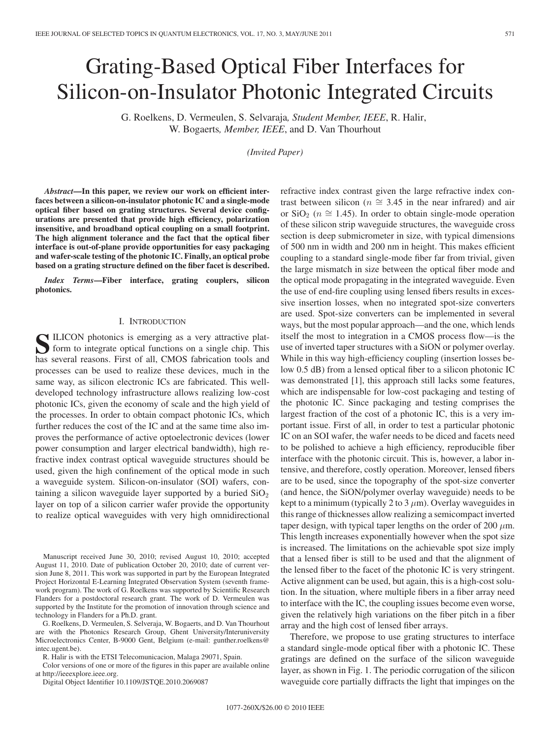# Grating-Based Optical Fiber Interfaces for Silicon-on-Insulator Photonic Integrated Circuits

G. Roelkens, D. Vermeulen, S. Selvaraja*, Student Member, IEEE*, R. Halir, W. Bogaerts*, Member, IEEE*, and D. Van Thourhout

*(Invited Paper)*

*Abstract***—In this paper, we review our work on efficient interfaces between a silicon-on-insulator photonic IC and a single-mode optical fiber based on grating structures. Several device configurations are presented that provide high efficiency, polarization insensitive, and broadband optical coupling on a small footprint. The high alignment tolerance and the fact that the optical fiber interface is out-of-plane provide opportunities for easy packaging and wafer-scale testing of the photonic IC. Finally, an optical probe based on a grating structure defined on the fiber facet is described.**

*Index Terms***—Fiber interface, grating couplers, silicon photonics.**

#### I. INTRODUCTION

SILICON photonics is emerging as a very attractive plat-<br>form to integrate optical functions on a single chip. This has several reasons. First of all, CMOS fabrication tools and processes can be used to realize these devices, much in the same way, as silicon electronic ICs are fabricated. This welldeveloped technology infrastructure allows realizing low-cost photonic ICs, given the economy of scale and the high yield of the processes. In order to obtain compact photonic ICs, which further reduces the cost of the IC and at the same time also improves the performance of active optoelectronic devices (lower power consumption and larger electrical bandwidth), high refractive index contrast optical waveguide structures should be used, given the high confinement of the optical mode in such a waveguide system. Silicon-on-insulator (SOI) wafers, containing a silicon waveguide layer supported by a buried  $SiO<sub>2</sub>$ layer on top of a silicon carrier wafer provide the opportunity to realize optical waveguides with very high omnidirectional

Manuscript received June 30, 2010; revised August 10, 2010; accepted August 11, 2010. Date of publication October 20, 2010; date of current version June 8, 2011. This work was supported in part by the European Integrated Project Horizontal E-Learning Integrated Observation System (seventh framework program). The work of G. Roelkens was supported by Scientific Research Flanders for a postdoctoral research grant. The work of D. Vermeulen was supported by the Institute for the promotion of innovation through science and technology in Flanders for a Ph.D. grant.

G. Roelkens, D. Vermeulen, S. Selveraja, W. Bogaerts, and D. Van Thourhout are with the Photonics Research Group, Ghent University/Interuniversity Microelectronics Center, B-9000 Gent, Belgium (e-mail: gunther.roelkens@ intec.ugent.be).

R. Halir is with the ETSI Telecomunicacion, Malaga 29071, Spain.

Color versions of one or more of the figures in this paper are available online at http://ieeexplore.ieee.org.

Digital Object Identifier 10.1109/JSTQE.2010.2069087

refractive index contrast given the large refractive index contrast between silicon ( $n \approx 3.45$  in the near infrared) and air or SiO<sub>2</sub> ( $n \approx 1.45$ ). In order to obtain single-mode operation of these silicon strip waveguide structures, the waveguide cross section is deep submicrometer in size, with typical dimensions of 500 nm in width and 200 nm in height. This makes efficient coupling to a standard single-mode fiber far from trivial, given the large mismatch in size between the optical fiber mode and the optical mode propagating in the integrated waveguide. Even the use of end-fire coupling using lensed fibers results in excessive insertion losses, when no integrated spot-size converters are used. Spot-size converters can be implemented in several ways, but the most popular approach—and the one, which lends itself the most to integration in a CMOS process flow—is the use of inverted taper structures with a SiON or polymer overlay. While in this way high-efficiency coupling (insertion losses below 0.5 dB) from a lensed optical fiber to a silicon photonic IC was demonstrated [1], this approach still lacks some features, which are indispensable for low-cost packaging and testing of the photonic IC. Since packaging and testing comprises the largest fraction of the cost of a photonic IC, this is a very important issue. First of all, in order to test a particular photonic IC on an SOI wafer, the wafer needs to be diced and facets need to be polished to achieve a high efficiency, reproducible fiber interface with the photonic circuit. This is, however, a labor intensive, and therefore, costly operation. Moreover, lensed fibers are to be used, since the topography of the spot-size converter (and hence, the SiON/polymer overlay waveguide) needs to be kept to a minimum (typically 2 to 3  $\mu$ m). Overlay waveguides in this range of thicknesses allow realizing a semicompact inverted taper design, with typical taper lengths on the order of 200  $\mu$ m. This length increases exponentially however when the spot size is increased. The limitations on the achievable spot size imply that a lensed fiber is still to be used and that the alignment of the lensed fiber to the facet of the photonic IC is very stringent. Active alignment can be used, but again, this is a high-cost solution. In the situation, where multiple fibers in a fiber array need to interface with the IC, the coupling issues become even worse, given the relatively high variations on the fiber pitch in a fiber array and the high cost of lensed fiber arrays.

Therefore, we propose to use grating structures to interface a standard single-mode optical fiber with a photonic IC. These gratings are defined on the surface of the silicon waveguide layer, as shown in Fig. 1. The periodic corrugation of the silicon waveguide core partially diffracts the light that impinges on the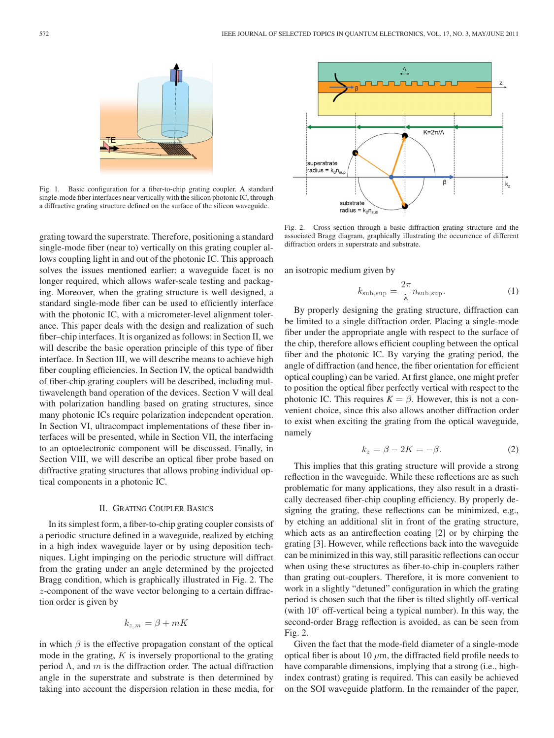

Fig. 1. Basic configuration for a fiber-to-chip grating coupler. A standard single-mode fiber interfaces near vertically with the silicon photonic IC, through a diffractive grating structure defined on the surface of the silicon waveguide.

grating toward the superstrate. Therefore, positioning a standard single-mode fiber (near to) vertically on this grating coupler allows coupling light in and out of the photonic IC. This approach solves the issues mentioned earlier: a waveguide facet is no longer required, which allows wafer-scale testing and packaging. Moreover, when the grating structure is well designed, a standard single-mode fiber can be used to efficiently interface with the photonic IC, with a micrometer-level alignment tolerance. This paper deals with the design and realization of such fiber–chip interfaces. It is organized as follows: in Section II, we will describe the basic operation principle of this type of fiber interface. In Section III, we will describe means to achieve high fiber coupling efficiencies. In Section IV, the optical bandwidth of fiber-chip grating couplers will be described, including multiwavelength band operation of the devices. Section V will deal with polarization handling based on grating structures, since many photonic ICs require polarization independent operation. In Section VI, ultracompact implementations of these fiber interfaces will be presented, while in Section VII, the interfacing to an optoelectronic component will be discussed. Finally, in Section VIII, we will describe an optical fiber probe based on diffractive grating structures that allows probing individual optical components in a photonic IC.

#### II. GRATING COUPLER BASICS

In its simplest form, a fiber-to-chip grating coupler consists of a periodic structure defined in a waveguide, realized by etching in a high index waveguide layer or by using deposition techniques. Light impinging on the periodic structure will diffract from the grating under an angle determined by the projected Bragg condition, which is graphically illustrated in Fig. 2. The z-component of the wave vector belonging to a certain diffraction order is given by

$$
k_{z,m} = \beta + mK
$$

in which  $\beta$  is the effective propagation constant of the optical mode in the grating,  $K$  is inversely proportional to the grating period Λ, and *m* is the diffraction order. The actual diffraction angle in the superstrate and substrate is then determined by taking into account the dispersion relation in these media, for



Fig. 2. Cross section through a basic diffraction grating structure and the associated Bragg diagram, graphically illustrating the occurrence of different diffraction orders in superstrate and substrate.

an isotropic medium given by

$$
k_{\rm sub,sup} = \frac{2\pi}{\lambda} n_{\rm sub,sup}.
$$
 (1)

By properly designing the grating structure, diffraction can be limited to a single diffraction order. Placing a single-mode fiber under the appropriate angle with respect to the surface of the chip, therefore allows efficient coupling between the optical fiber and the photonic IC. By varying the grating period, the angle of diffraction (and hence, the fiber orientation for efficient optical coupling) can be varied. At first glance, one might prefer to position the optical fiber perfectly vertical with respect to the photonic IC. This requires  $K = \beta$ . However, this is not a convenient choice, since this also allows another diffraction order to exist when exciting the grating from the optical waveguide, namely

$$
k_z = \beta - 2K = -\beta. \tag{2}
$$

This implies that this grating structure will provide a strong reflection in the waveguide. While these reflections are as such problematic for many applications, they also result in a drastically decreased fiber-chip coupling efficiency. By properly designing the grating, these reflections can be minimized, e.g., by etching an additional slit in front of the grating structure, which acts as an antireflection coating [2] or by chirping the grating [3]. However, while reflections back into the waveguide can be minimized in this way, still parasitic reflections can occur when using these structures as fiber-to-chip in-couplers rather than grating out-couplers. Therefore, it is more convenient to work in a slightly "detuned" configuration in which the grating period is chosen such that the fiber is tilted slightly off-vertical (with 10◦ off-vertical being a typical number). In this way, the second-order Bragg reflection is avoided, as can be seen from Fig. 2.

Given the fact that the mode-field diameter of a single-mode optical fiber is about 10  $\mu$ m, the diffracted field profile needs to have comparable dimensions, implying that a strong (i.e., highindex contrast) grating is required. This can easily be achieved on the SOI waveguide platform. In the remainder of the paper,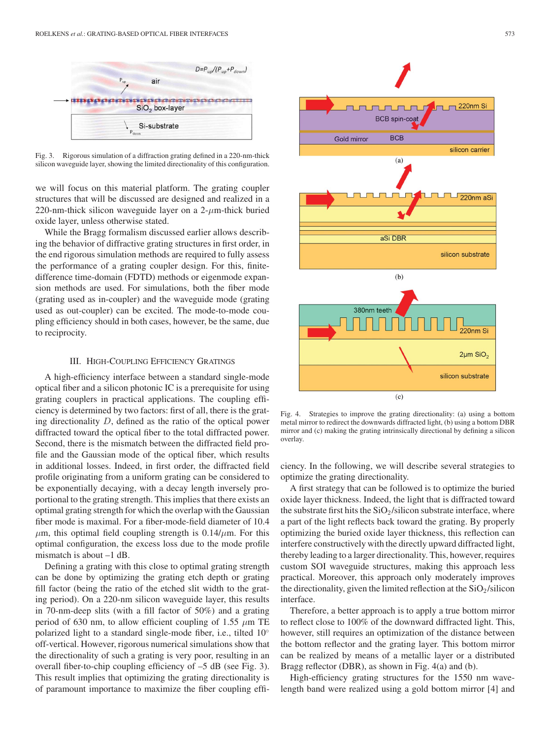

Fig. 3. Rigorous simulation of a diffraction grating defined in a 220-nm-thick silicon waveguide layer, showing the limited directionality of this configuration.

we will focus on this material platform. The grating coupler structures that will be discussed are designed and realized in a 220-nm-thick silicon waveguide layer on a  $2-\mu$ m-thick buried oxide layer, unless otherwise stated.

While the Bragg formalism discussed earlier allows describing the behavior of diffractive grating structures in first order, in the end rigorous simulation methods are required to fully assess the performance of a grating coupler design. For this, finitedifference time-domain (FDTD) methods or eigenmode expansion methods are used. For simulations, both the fiber mode (grating used as in-coupler) and the waveguide mode (grating used as out-coupler) can be excited. The mode-to-mode coupling efficiency should in both cases, however, be the same, due to reciprocity.

#### III. HIGH-COUPLING EFFICIENCY GRATINGS

A high-efficiency interface between a standard single-mode optical fiber and a silicon photonic IC is a prerequisite for using grating couplers in practical applications. The coupling efficiency is determined by two factors: first of all, there is the grating directionality D, defined as the ratio of the optical power diffracted toward the optical fiber to the total diffracted power. Second, there is the mismatch between the diffracted field profile and the Gaussian mode of the optical fiber, which results in additional losses. Indeed, in first order, the diffracted field profile originating from a uniform grating can be considered to be exponentially decaying, with a decay length inversely proportional to the grating strength. This implies that there exists an optimal grating strength for which the overlap with the Gaussian fiber mode is maximal. For a fiber-mode-field diameter of 10.4  $\mu$ m, this optimal field coupling strength is 0.14/ $\mu$ m. For this optimal configuration, the excess loss due to the mode profile mismatch is about –1 dB.

Defining a grating with this close to optimal grating strength can be done by optimizing the grating etch depth or grating fill factor (being the ratio of the etched slit width to the grating period). On a 220-nm silicon waveguide layer, this results in 70-nm-deep slits (with a fill factor of 50%) and a grating period of 630 nm, to allow efficient coupling of 1.55  $\mu$ m TE polarized light to a standard single-mode fiber, i.e., tilted 10° off-vertical. However, rigorous numerical simulations show that the directionality of such a grating is very poor, resulting in an overall fiber-to-chip coupling efficiency of –5 dB (see Fig. 3). This result implies that optimizing the grating directionality is of paramount importance to maximize the fiber coupling effi-



Fig. 4. Strategies to improve the grating directionality: (a) using a bottom metal mirror to redirect the downwards diffracted light, (b) using a bottom DBR mirror and (c) making the grating intrinsically directional by defining a silicon overlay.

ciency. In the following, we will describe several strategies to optimize the grating directionality.

A first strategy that can be followed is to optimize the buried oxide layer thickness. Indeed, the light that is diffracted toward the substrate first hits the  $SiO<sub>2</sub>/silicon$  substrate interface, where a part of the light reflects back toward the grating. By properly optimizing the buried oxide layer thickness, this reflection can interfere constructively with the directly upward diffracted light, thereby leading to a larger directionality. This, however, requires custom SOI waveguide structures, making this approach less practical. Moreover, this approach only moderately improves the directionality, given the limited reflection at the  $SiO<sub>2</sub>/silicon$ interface.

Therefore, a better approach is to apply a true bottom mirror to reflect close to 100% of the downward diffracted light. This, however, still requires an optimization of the distance between the bottom reflector and the grating layer. This bottom mirror can be realized by means of a metallic layer or a distributed Bragg reflector (DBR), as shown in Fig. 4(a) and (b).

High-efficiency grating structures for the 1550 nm wavelength band were realized using a gold bottom mirror [4] and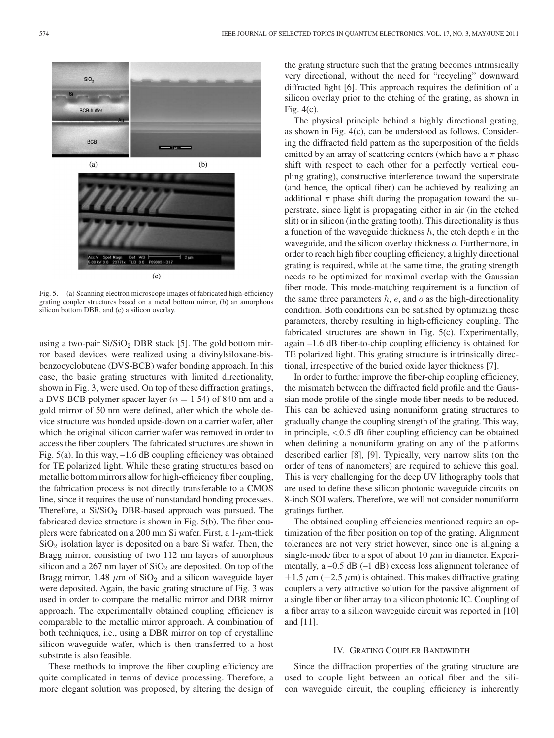

Fig. 5. (a) Scanning electron microscope images of fabricated high-efficiency grating coupler structures based on a metal bottom mirror, (b) an amorphous silicon bottom DBR, and (c) a silicon overlay.

using a two-pair  $Si/SiO<sub>2</sub>$  DBR stack [5]. The gold bottom mirror based devices were realized using a divinylsiloxane-bisbenzocyclobutene (DVS-BCB) wafer bonding approach. In this case, the basic grating structures with limited directionality, shown in Fig. 3, were used. On top of these diffraction gratings, a DVS-BCB polymer spacer layer ( $n = 1.54$ ) of 840 nm and a gold mirror of 50 nm were defined, after which the whole device structure was bonded upside-down on a carrier wafer, after which the original silicon carrier wafer was removed in order to access the fiber couplers. The fabricated structures are shown in Fig.  $5(a)$ . In this way,  $-1.6$  dB coupling efficiency was obtained for TE polarized light. While these grating structures based on metallic bottom mirrors allow for high-efficiency fiber coupling, the fabrication process is not directly transferable to a CMOS line, since it requires the use of nonstandard bonding processes. Therefore, a  $Si/SiO<sub>2</sub>$  DBR-based approach was pursued. The fabricated device structure is shown in Fig. 5(b). The fiber couplers were fabricated on a 200 mm Si wafer. First, a  $1-\mu$ m-thick  $SiO<sub>2</sub>$  isolation layer is deposited on a bare Si wafer. Then, the Bragg mirror, consisting of two 112 nm layers of amorphous silicon and a 267 nm layer of  $SiO<sub>2</sub>$  are deposited. On top of the Bragg mirror, 1.48  $\mu$ m of SiO<sub>2</sub> and a silicon waveguide layer were deposited. Again, the basic grating structure of Fig. 3 was used in order to compare the metallic mirror and DBR mirror approach. The experimentally obtained coupling efficiency is comparable to the metallic mirror approach. A combination of both techniques, i.e., using a DBR mirror on top of crystalline silicon waveguide wafer, which is then transferred to a host substrate is also feasible.

These methods to improve the fiber coupling efficiency are quite complicated in terms of device processing. Therefore, a more elegant solution was proposed, by altering the design of the grating structure such that the grating becomes intrinsically very directional, without the need for "recycling" downward diffracted light [6]. This approach requires the definition of a silicon overlay prior to the etching of the grating, as shown in Fig. 4(c).

The physical principle behind a highly directional grating, as shown in Fig. 4(c), can be understood as follows. Considering the diffracted field pattern as the superposition of the fields emitted by an array of scattering centers (which have a  $\pi$  phase shift with respect to each other for a perfectly vertical coupling grating), constructive interference toward the superstrate (and hence, the optical fiber) can be achieved by realizing an additional  $\pi$  phase shift during the propagation toward the superstrate, since light is propagating either in air (in the etched slit) or in silicon (in the grating tooth). This directionality is thus a function of the waveguide thickness  $h$ , the etch depth  $e$  in the waveguide, and the silicon overlay thickness o. Furthermore, in order to reach high fiber coupling efficiency, a highly directional grating is required, while at the same time, the grating strength needs to be optimized for maximal overlap with the Gaussian fiber mode. This mode-matching requirement is a function of the same three parameters  $h$ ,  $e$ , and  $o$  as the high-directionality condition. Both conditions can be satisfied by optimizing these parameters, thereby resulting in high-efficiency coupling. The fabricated structures are shown in Fig. 5(c). Experimentally, again –1.6 dB fiber-to-chip coupling efficiency is obtained for TE polarized light. This grating structure is intrinsically directional, irrespective of the buried oxide layer thickness [7].

In order to further improve the fiber-chip coupling efficiency, the mismatch between the diffracted field profile and the Gaussian mode profile of the single-mode fiber needs to be reduced. This can be achieved using nonuniform grating structures to gradually change the coupling strength of the grating. This way, in principle,  $< 0.5$  dB fiber coupling efficiency can be obtained when defining a nonuniform grating on any of the platforms described earlier [8], [9]. Typically, very narrow slits (on the order of tens of nanometers) are required to achieve this goal. This is very challenging for the deep UV lithography tools that are used to define these silicon photonic waveguide circuits on 8-inch SOI wafers. Therefore, we will not consider nonuniform gratings further.

The obtained coupling efficiencies mentioned require an optimization of the fiber position on top of the grating. Alignment tolerances are not very strict however, since one is aligning a single-mode fiber to a spot of about 10  $\mu$ m in diameter. Experimentally,  $a -0.5$  dB  $(-1$  dB) excess loss alignment tolerance of  $\pm 1.5 \ \mu m$  ( $\pm 2.5 \ \mu m$ ) is obtained. This makes diffractive grating couplers a very attractive solution for the passive alignment of a single fiber or fiber array to a silicon photonic IC. Coupling of a fiber array to a silicon waveguide circuit was reported in [10] and [11].

# IV. GRATING COUPLER BANDWIDTH

Since the diffraction properties of the grating structure are used to couple light between an optical fiber and the silicon waveguide circuit, the coupling efficiency is inherently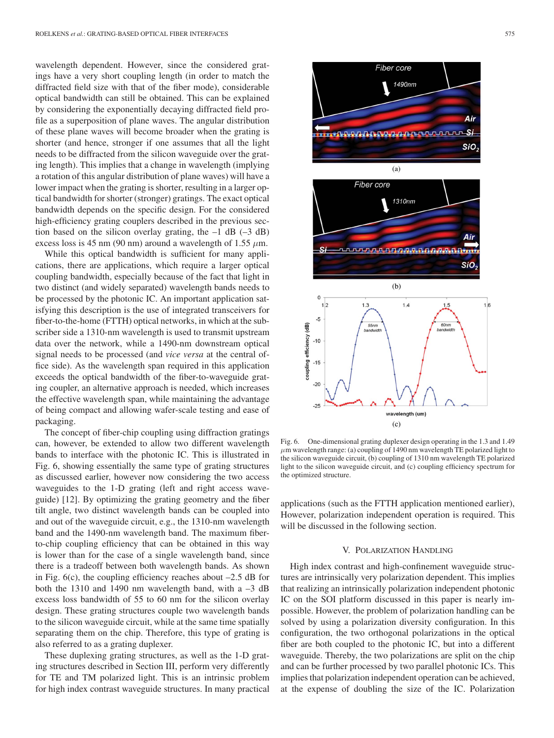wavelength dependent. However, since the considered gratings have a very short coupling length (in order to match the diffracted field size with that of the fiber mode), considerable optical bandwidth can still be obtained. This can be explained by considering the exponentially decaying diffracted field profile as a superposition of plane waves. The angular distribution of these plane waves will become broader when the grating is shorter (and hence, stronger if one assumes that all the light needs to be diffracted from the silicon waveguide over the grating length). This implies that a change in wavelength (implying a rotation of this angular distribution of plane waves) will have a lower impact when the grating is shorter, resulting in a larger optical bandwidth for shorter (stronger) gratings. The exact optical bandwidth depends on the specific design. For the considered high-efficiency grating couplers described in the previous section based on the silicon overlay grating, the  $-1$  dB  $(-3$  dB) excess loss is 45 nm (90 nm) around a wavelength of 1.55  $\mu$ m.

While this optical bandwidth is sufficient for many applications, there are applications, which require a larger optical coupling bandwidth, especially because of the fact that light in two distinct (and widely separated) wavelength bands needs to be processed by the photonic IC. An important application satisfying this description is the use of integrated transceivers for fiber-to-the-home (FTTH) optical networks, in which at the subscriber side a 1310-nm wavelength is used to transmit upstream data over the network, while a 1490-nm downstream optical signal needs to be processed (and *vice versa* at the central office side). As the wavelength span required in this application exceeds the optical bandwidth of the fiber-to-waveguide grating coupler, an alternative approach is needed, which increases the effective wavelength span, while maintaining the advantage of being compact and allowing wafer-scale testing and ease of packaging.

The concept of fiber-chip coupling using diffraction gratings can, however, be extended to allow two different wavelength bands to interface with the photonic IC. This is illustrated in Fig. 6, showing essentially the same type of grating structures as discussed earlier, however now considering the two access waveguides to the 1-D grating (left and right access waveguide) [12]. By optimizing the grating geometry and the fiber tilt angle, two distinct wavelength bands can be coupled into and out of the waveguide circuit, e.g., the 1310-nm wavelength band and the 1490-nm wavelength band. The maximum fiberto-chip coupling efficiency that can be obtained in this way is lower than for the case of a single wavelength band, since there is a tradeoff between both wavelength bands. As shown in Fig.  $6(c)$ , the coupling efficiency reaches about  $-2.5$  dB for both the 1310 and 1490 nm wavelength band, with a  $-3$  dB excess loss bandwidth of 55 to 60 nm for the silicon overlay design. These grating structures couple two wavelength bands to the silicon waveguide circuit, while at the same time spatially separating them on the chip. Therefore, this type of grating is also referred to as a grating duplexer.

These duplexing grating structures, as well as the 1-D grating structures described in Section III, perform very differently for TE and TM polarized light. This is an intrinsic problem for high index contrast waveguide structures. In many practical



SiO



Fig. 6. One-dimensional grating duplexer design operating in the 1.3 and 1.49  $\mu$ m wavelength range: (a) coupling of 1490 nm wavelength TE polarized light to the silicon waveguide circuit, (b) coupling of 1310 nm wavelength TE polarized light to the silicon waveguide circuit, and (c) coupling efficiency spectrum for the optimized structure.

applications (such as the FTTH application mentioned earlier), However, polarization independent operation is required. This will be discussed in the following section.

#### V. POLARIZATION HANDLING

High index contrast and high-confinement waveguide structures are intrinsically very polarization dependent. This implies that realizing an intrinsically polarization independent photonic IC on the SOI platform discussed in this paper is nearly impossible. However, the problem of polarization handling can be solved by using a polarization diversity configuration. In this configuration, the two orthogonal polarizations in the optical fiber are both coupled to the photonic IC, but into a different waveguide. Thereby, the two polarizations are split on the chip and can be further processed by two parallel photonic ICs. This implies that polarization independent operation can be achieved, at the expense of doubling the size of the IC. Polarization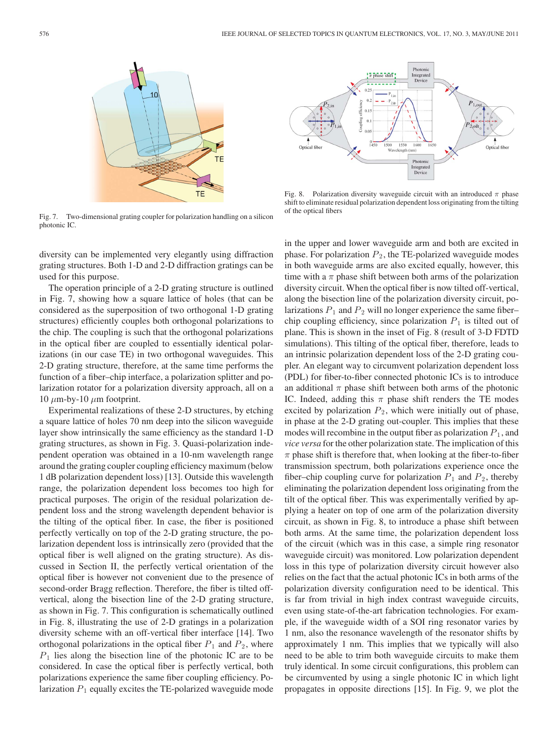$0.25$  $0.2$ 

 $0.15$ pling

 $1450$ 

 $\frac{1}{4}$  phase shift

 $P_{2a}$ 

1500 1550<br>Wavelength

Photonic

Integrated Device

1600



Fig. 7. Two-dimensional grating coupler for polarization handling on a silicon photonic IC.



diversity can be implemented very elegantly using diffraction grating structures. Both 1-D and 2-D diffraction gratings can be used for this purpose.

The operation principle of a 2-D grating structure is outlined in Fig. 7, showing how a square lattice of holes (that can be considered as the superposition of two orthogonal 1-D grating structures) efficiently couples both orthogonal polarizations to the chip. The coupling is such that the orthogonal polarizations in the optical fiber are coupled to essentially identical polarizations (in our case TE) in two orthogonal waveguides. This 2-D grating structure, therefore, at the same time performs the function of a fiber–chip interface, a polarization splitter and polarization rotator for a polarization diversity approach, all on a 10  $\mu$ m-by-10  $\mu$ m footprint.

Experimental realizations of these 2-D structures, by etching a square lattice of holes 70 nm deep into the silicon waveguide layer show intrinsically the same efficiency as the standard 1-D grating structures, as shown in Fig. 3. Quasi-polarization independent operation was obtained in a 10-nm wavelength range around the grating coupler coupling efficiency maximum (below 1 dB polarization dependent loss) [13]. Outside this wavelength range, the polarization dependent loss becomes too high for practical purposes. The origin of the residual polarization dependent loss and the strong wavelength dependent behavior is the tilting of the optical fiber. In case, the fiber is positioned perfectly vertically on top of the 2-D grating structure, the polarization dependent loss is intrinsically zero (provided that the optical fiber is well aligned on the grating structure). As discussed in Section II, the perfectly vertical orientation of the optical fiber is however not convenient due to the presence of second-order Bragg reflection. Therefore, the fiber is tilted offvertical, along the bisection line of the 2-D grating structure, as shown in Fig. 7. This configuration is schematically outlined in Fig. 8, illustrating the use of 2-D gratings in a polarization diversity scheme with an off-vertical fiber interface [14]. Two orthogonal polarizations in the optical fiber  $P_1$  and  $P_2$ , where  $P_1$  lies along the bisection line of the photonic IC are to be considered. In case the optical fiber is perfectly vertical, both polarizations experience the same fiber coupling efficiency. Polarization  $P_1$  equally excites the TE-polarized waveguide mode

in the upper and lower waveguide arm and both are excited in phase. For polarization  $P_2$ , the TE-polarized waveguide modes in both waveguide arms are also excited equally, however, this time with a  $\pi$  phase shift between both arms of the polarization diversity circuit. When the optical fiber is now tilted off-vertical, along the bisection line of the polarization diversity circuit, polarizations  $P_1$  and  $P_2$  will no longer experience the same fiber– chip coupling efficiency, since polarization  $P_1$  is tilted out of plane. This is shown in the inset of Fig. 8 (result of 3-D FDTD simulations). This tilting of the optical fiber, therefore, leads to an intrinsic polarization dependent loss of the 2-D grating coupler. An elegant way to circumvent polarization dependent loss (PDL) for fiber-to-fiber connected photonic ICs is to introduce an additional  $\pi$  phase shift between both arms of the photonic IC. Indeed, adding this  $\pi$  phase shift renders the TE modes excited by polarization  $P_2$ , which were initially out of phase, in phase at the 2-D grating out-coupler. This implies that these modes will recombine in the output fiber as polarization  $P_1$ , and *vice versa* for the other polarization state. The implication of this  $\pi$  phase shift is therefore that, when looking at the fiber-to-fiber transmission spectrum, both polarizations experience once the fiber–chip coupling curve for polarization  $P_1$  and  $P_2$ , thereby eliminating the polarization dependent loss originating from the tilt of the optical fiber. This was experimentally verified by applying a heater on top of one arm of the polarization diversity circuit, as shown in Fig. 8, to introduce a phase shift between both arms. At the same time, the polarization dependent loss of the circuit (which was in this case, a simple ring resonator waveguide circuit) was monitored. Low polarization dependent loss in this type of polarization diversity circuit however also relies on the fact that the actual photonic ICs in both arms of the polarization diversity configuration need to be identical. This is far from trivial in high index contrast waveguide circuits, even using state-of-the-art fabrication technologies. For example, if the waveguide width of a SOI ring resonator varies by 1 nm, also the resonance wavelength of the resonator shifts by approximately 1 nm. This implies that we typically will also need to be able to trim both waveguide circuits to make them truly identical. In some circuit configurations, this problem can be circumvented by using a single photonic IC in which light propagates in opposite directions [15]. In Fig. 9, we plot the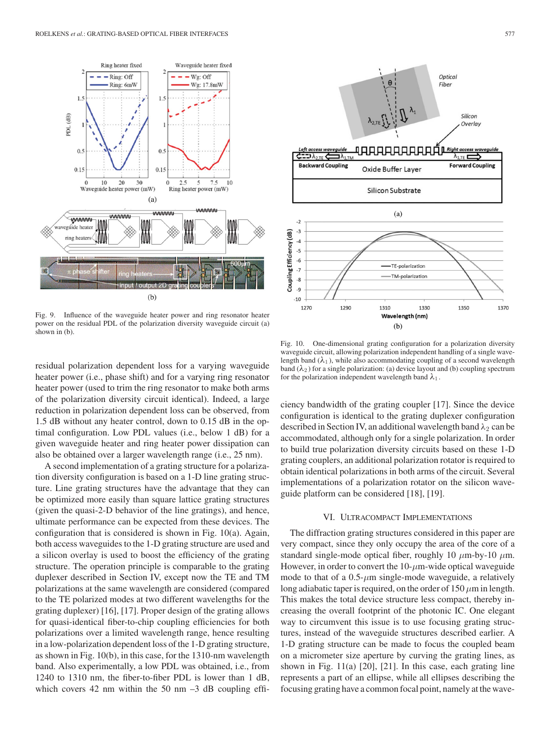

Fig. 9. Influence of the waveguide heater power and ring resonator heater power on the residual PDL of the polarization diversity waveguide circuit (a) shown in (b).

residual polarization dependent loss for a varying waveguide heater power (i.e., phase shift) and for a varying ring resonator heater power (used to trim the ring resonator to make both arms of the polarization diversity circuit identical). Indeed, a large reduction in polarization dependent loss can be observed, from 1.5 dB without any heater control, down to 0.15 dB in the optimal configuration. Low PDL values (i.e., below 1 dB) for a given waveguide heater and ring heater power dissipation can also be obtained over a larger wavelength range (i.e., 25 nm).

A second implementation of a grating structure for a polarization diversity configuration is based on a 1-D line grating structure. Line grating structures have the advantage that they can be optimized more easily than square lattice grating structures (given the quasi-2-D behavior of the line gratings), and hence, ultimate performance can be expected from these devices. The configuration that is considered is shown in Fig. 10(a). Again, both access waveguides to the 1-D grating structure are used and a silicon overlay is used to boost the efficiency of the grating structure. The operation principle is comparable to the grating duplexer described in Section IV, except now the TE and TM polarizations at the same wavelength are considered (compared to the TE polarized modes at two different wavelengths for the grating duplexer) [16], [17]. Proper design of the grating allows for quasi-identical fiber-to-chip coupling efficiencies for both polarizations over a limited wavelength range, hence resulting in a low-polarization dependent loss of the 1-D grating structure, as shown in Fig. 10(b), in this case, for the 1310-nm wavelength band. Also experimentally, a low PDL was obtained, i.e., from 1240 to 1310 nm, the fiber-to-fiber PDL is lower than 1 dB, which covers 42 nm within the 50 nm  $-3$  dB coupling effi-



Fig. 10. One-dimensional grating configuration for a polarization diversity waveguide circuit, allowing polarization independent handling of a single wavelength band  $(\lambda_1)$ , while also accommodating coupling of a second wavelength band  $(\lambda_2)$  for a single polarization: (a) device layout and (b) coupling spectrum for the polarization independent wavelength band  $\lambda_1$ .

ciency bandwidth of the grating coupler [17]. Since the device configuration is identical to the grating duplexer configuration described in Section IV, an additional wavelength band  $\lambda_2$  can be accommodated, although only for a single polarization. In order to build true polarization diversity circuits based on these 1-D grating couplers, an additional polarization rotator is required to obtain identical polarizations in both arms of the circuit. Several implementations of a polarization rotator on the silicon waveguide platform can be considered [18], [19].

# VI. ULTRACOMPACT IMPLEMENTATIONS

The diffraction grating structures considered in this paper are very compact, since they only occupy the area of the core of a standard single-mode optical fiber, roughly 10  $\mu$ m-by-10  $\mu$ m. However, in order to convert the  $10$ - $\mu$ m-wide optical waveguide mode to that of a  $0.5$ - $\mu$ m single-mode waveguide, a relatively long adiabatic taper is required, on the order of 150  $\mu$ m in length. This makes the total device structure less compact, thereby increasing the overall footprint of the photonic IC. One elegant way to circumvent this issue is to use focusing grating structures, instead of the waveguide structures described earlier. A 1-D grating structure can be made to focus the coupled beam on a micrometer size aperture by curving the grating lines, as shown in Fig. 11(a) [20], [21]. In this case, each grating line represents a part of an ellipse, while all ellipses describing the focusing grating have a common focal point, namely at the wave-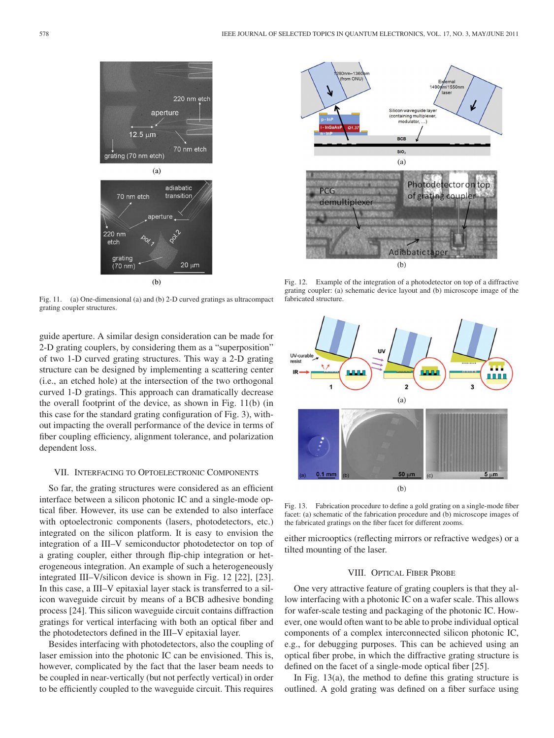

Fig. 11. (a) One-dimensional (a) and (b) 2-D curved gratings as ultracompact grating coupler structures.

guide aperture. A similar design consideration can be made for 2-D grating couplers, by considering them as a "superposition" of two 1-D curved grating structures. This way a 2-D grating structure can be designed by implementing a scattering center (i.e., an etched hole) at the intersection of the two orthogonal curved 1-D gratings. This approach can dramatically decrease the overall footprint of the device, as shown in Fig. 11(b) (in this case for the standard grating configuration of Fig. 3), without impacting the overall performance of the device in terms of fiber coupling efficiency, alignment tolerance, and polarization dependent loss.

# VII. INTERFACING TO OPTOELECTRONIC COMPONENTS

So far, the grating structures were considered as an efficient interface between a silicon photonic IC and a single-mode optical fiber. However, its use can be extended to also interface with optoelectronic components (lasers, photodetectors, etc.) integrated on the silicon platform. It is easy to envision the integration of a III–V semiconductor photodetector on top of a grating coupler, either through flip-chip integration or heterogeneous integration. An example of such a heterogeneously integrated III–V/silicon device is shown in Fig. 12 [22], [23]. In this case, a III–V epitaxial layer stack is transferred to a silicon waveguide circuit by means of a BCB adhesive bonding process [24]. This silicon waveguide circuit contains diffraction gratings for vertical interfacing with both an optical fiber and the photodetectors defined in the III–V epitaxial layer.

Besides interfacing with photodetectors, also the coupling of laser emission into the photonic IC can be envisioned. This is, however, complicated by the fact that the laser beam needs to be coupled in near-vertically (but not perfectly vertical) in order to be efficiently coupled to the waveguide circuit. This requires



Fig. 12. Example of the integration of a photodetector on top of a diffractive grating coupler: (a) schematic device layout and (b) microscope image of the fabricated structure.



Fig. 13. Fabrication procedure to define a gold grating on a single-mode fiber facet: (a) schematic of the fabrication procedure and (b) microscope images of the fabricated gratings on the fiber facet for different zooms.

either microoptics (reflecting mirrors or refractive wedges) or a tilted mounting of the laser.

# VIII. OPTICAL FIBER PROBE

One very attractive feature of grating couplers is that they allow interfacing with a photonic IC on a wafer scale. This allows for wafer-scale testing and packaging of the photonic IC. However, one would often want to be able to probe individual optical components of a complex interconnected silicon photonic IC, e.g., for debugging purposes. This can be achieved using an optical fiber probe, in which the diffractive grating structure is defined on the facet of a single-mode optical fiber [25].

In Fig. 13(a), the method to define this grating structure is outlined. A gold grating was defined on a fiber surface using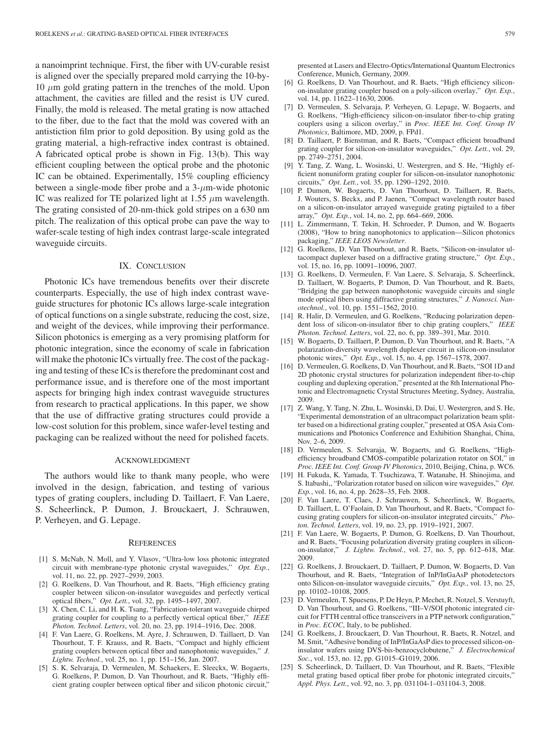a nanoimprint technique. First, the fiber with UV-curable resist is aligned over the specially prepared mold carrying the 10-by-10  $μ$ m gold grating pattern in the trenches of the mold. Upon attachment, the cavities are filled and the resist is UV cured. Finally, the mold is released. The metal grating is now attached to the fiber, due to the fact that the mold was covered with an antistiction film prior to gold deposition. By using gold as the grating material, a high-refractive index contrast is obtained. A fabricated optical probe is shown in Fig. 13(b). This way efficient coupling between the optical probe and the photonic IC can be obtained. Experimentally, 15% coupling efficiency between a single-mode fiber probe and a  $3-\mu$ m-wide photonic IC was realized for TE polarized light at 1.55  $\mu$ m wavelength. The grating consisted of 20-nm-thick gold stripes on a 630 nm pitch. The realization of this optical probe can pave the way to wafer-scale testing of high index contrast large-scale integrated waveguide circuits.

# IX. CONCLUSION

Photonic ICs have tremendous benefits over their discrete counterparts. Especially, the use of high index contrast waveguide structures for photonic ICs allows large-scale integration of optical functions on a single substrate, reducing the cost, size, and weight of the devices, while improving their performance. Silicon photonics is emerging as a very promising platform for photonic integration, since the economy of scale in fabrication will make the photonic ICs virtually free. The cost of the packaging and testing of these ICs is therefore the predominant cost and performance issue, and is therefore one of the most important aspects for bringing high index contrast waveguide structures from research to practical applications. In this paper, we show that the use of diffractive grating structures could provide a low-cost solution for this problem, since wafer-level testing and packaging can be realized without the need for polished facets.

# ACKNOWLEDGMENT

The authors would like to thank many people, who were involved in the design, fabrication, and testing of various types of grating couplers, including D. Taillaert, F. Van Laere, S. Scheerlinck, P. Dumon, J. Brouckaert, J. Schrauwen, P. Verheyen, and G. Lepage.

#### **REFERENCES**

- [1] S. McNab, N. Moll, and Y. Vlasov, "Ultra-low loss photonic integrated circuit with membrane-type photonic crystal waveguides," *Opt. Exp.*, vol. 11, no. 22, pp. 2927–2939, 2003.
- [2] G. Roelkens, D. Van Thourhout, and R. Baets, "High efficiency grating coupler between silicon-on-insulator waveguides and perfectly vertical optical fibers," *Opt. Lett.*, vol. 32, pp. 1495–1497, 2007.
- [3] X. Chen, C. Li, and H. K. Tsang, "Fabrication-tolerant waveguide chirped grating coupler for coupling to a perfectly vertical optical fiber," *IEEE Photon. Technol. Letters*, vol. 20, no. 23, pp. 1914–1916, Dec. 2008.
- [4] F. Van Laere, G. Roelkens, M. Ayre, J. Schrauwen, D. Taillaert, D. Van Thourhout, T. F. Krauss, and R. Baets, "Compact and highly efficient grating couplers between optical fiber and nanophotonic waveguides," *J. Lightw. Technol.*, vol. 25, no. 1, pp. 151–156, Jan. 2007.
- [5] S. K. Selvaraja, D. Vermeulen, M. Schaekers, E. Sleeckx, W. Bogaerts, G. Roelkens, P. Dumon, D. Van Thourhout, and R. Baets, "Highly efficient grating coupler between optical fiber and silicon photonic circuit,"
- [6] G. Roelkens, D. Van Thourhout, and R. Baets, "High efficiency siliconon-insulator grating coupler based on a poly-silicon overlay," *Opt. Exp.*, vol. 14, pp. 11622–11630, 2006.
- [7] D. Vermeulen, S. Selvaraja, P. Verheyen, G. Lepage, W. Bogaerts, and G. Roelkens, "High-efficiency silicon-on-insulator fiber-to-chip grating couplers using a silicon overlay," in *Proc. IEEE Int. Conf. Group IV Photonics*, Baltimore, MD, 2009, p. FPd1.
- [8] D. Taillaert, P. Bienstman, and R. Baets, "Compact efficient broadband grating coupler for silicon-on-insulator waveguides," *Opt. Lett.*, vol. 29, pp. 2749–2751, 2004.
- [9] Y. Tang, Z. Wang, L. Wosinski, U. Westergren, and S. He, "Highly efficient nonuniform grating coupler for silicon-on-insulator nanophotonic circuits," *Opt. Lett.*, vol. 35, pp. 1290–1292, 2010.
- [10] P. Dumon, W. Bogaerts, D. Van Thourhout, D. Taillaert, R. Baets, J. Wouters, S. Beckx, and P. Jaenen, "Compact wavelength router based on a silicon-on-insulator arrayed waveguide grating pigtailed to a fiber array," *Opt. Exp.*, vol. 14, no. 2, pp. 664–669, 2006.
- [11] L. Zimmermann, T. Tekin, H. Schroeder, P. Dumon, and W. Bogaerts (2008), "How to bring nanophotonics to application—Silicon photonics packaging," *IEEE LEOS Newsletter*.
- [12] G. Roelkens, D. Van Thourhout, and R. Baets, "Silicon-on-insulator ultacompact duplexer based on a diffractive grating structure," *Opt. Exp.*, vol. 15, no. 16, pp. 10091–10096, 2007.
- [13] G. Roelkens, D. Vermeulen, F. Van Laere, S. Selvaraja, S. Scheerlinck, D. Taillaert, W. Bogaerts, P. Dumon, D. Van Thourhout, and R. Baets, "Bridging the gap between nanophotonic waveguide circuits and single mode optical fibers using diffractive grating structures," *J. Nanosci. Nanotechnol.*, vol. 10, pp. 1551–1562, 2010.
- [14] R. Halir, D. Vermeulen, and G. Roelkens, "Reducing polarization dependent loss of silicon-on-insulator fiber to chip grating couplers," *IEEE Photon. Technol. Letters*, vol. 22, no. 6, pp. 389–391, Mar. 2010.
- [15] W. Bogaerts, D. Taillaert, P. Dumon, D. Van Thourhout, and R. Baets, "A polarization-diversity wavelength duplexer circuit in silicon-on-insulator photonic wires," *Opt. Exp.*, vol. 15, no. 4, pp. 1567–1578, 2007.
- [16] D. Vermeulen, G. Roelkens, D. Van Thourhout, and R. Baets, "SOI 1D and 2D photonic crystal structures for polarization independent fiber-to-chip coupling and duplexing operation," presented at the 8th International Photonic and Electromagnetic Crystal Structures Meeting, Sydney, Australia, 2009.
- [17] Z. Wang, Y. Tang, N. Zhu, L. Wosinski, D. Dai, U. Westergren, and S. He, "Experimental demonstration of an ultracompact polarization beam splitter based on a bidirectional grating coupler," presented at OSA Asia Communications and Photonics Conference and Exhibition Shanghai, China, Nov. 2–6, 2009.
- [18] D. Vermeulen, S. Selvaraja, W. Bogaerts, and G. Roelkens, "Highefficiency broadband CMOS-compatible polarization rotator on SOI," in *Proc. IEEE Int. Conf. Group IV Photonics*, 2010, Beijing, China, p. WC6.
- [19] H. Fukuda, K. Yamada, T. Tsuchizawa, T. Watanabe, H. Shinojima, and S. Itabashi,, "Polarization rotator based on silicon wire waveguides," *Opt. Exp.*, vol. 16, no. 4, pp. 2628–35, Feb. 2008.
- [20] F. Van Laere, T. Claes, J. Schrauwen, S. Scheerlinck, W. Bogaerts, D. Taillaert, L. O'Faolain, D. Van Thourhout, and R. Baets, "Compact focusing grating couplers for silicon-on-insulator integrated circuits," *Photon. Technol. Letters*, vol. 19, no. 23, pp. 1919–1921, 2007.
- [21] F. Van Laere, W. Bogaerts, P. Dumon, G. Roelkens, D. Van Thourhout, and R. Baets, "Focusing polarization diversity grating couplers in siliconon-insulator," *J. Lightw. Technol.*, vol. 27, no. 5, pp. 612–618, Mar. 2009.
- [22] G. Roelkens, J. Brouckaert, D. Taillaert, P. Dumon, W. Bogaerts, D. Van Thourhout, and R. Baets, "Integration of InP/InGaAsP photodetectors onto Silicon-on-insulator waveguide circuits," *Opt. Exp.*, vol. 13, no. 25, pp. 10102–10108, 2005.
- [23] D. Vermeulen, T. Spuesens, P. De Heyn, P. Mechet, R. Notzel, S. Verstuyft, D. Van Thourhout, and G. Roelkens, "III–V/SOI photonic integrated circuit for FTTH central office transceivers in a PTP network configuration," in *Proc. ECOC*, Italy, to be published.
- [24] G. Roelkens, J. Brouckaert, D. Van Thourhout, R. Baets, R. Notzel, and M. Smit, "Adhesive bonding of InP/InGaAsP dies to processed silicon-oninsulator wafers using DVS-bis-benzocyclobutene," *J. Electrochemical Soc.*, vol. 153, no. 12, pp. G1015–G1019, 2006.
- [25] S. Scheerlinck, D. Taillaert, D. Van Thourhout, and R. Baets, "Flexible metal grating based optical fiber probe for photonic integrated circuits," *Appl. Phys. Lett.*, vol. 92, no. 3, pp. 031104-1–031104-3, 2008.